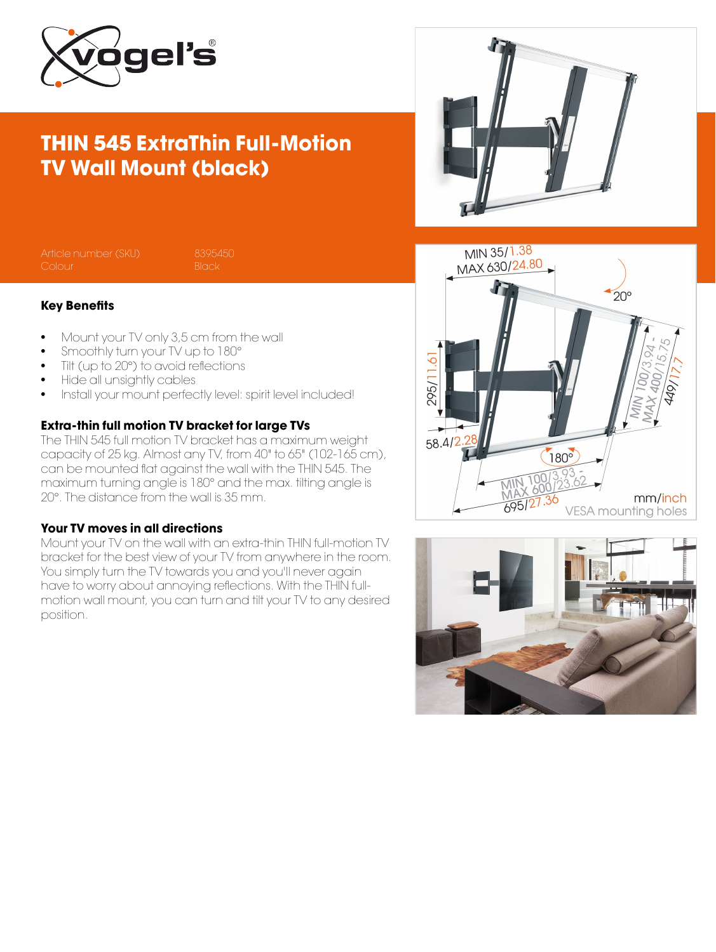

# THIN 545 ExtraThin Full-Motion TV Wall Mount (black)



#### Key Benefits

- Mount your TV only 3,5 cm from the wall
- Smoothly turn your TV up to 180°
- Tilt (up to 20°) to avoid reflections
- Hide all unsightly cables
- Install your mount perfectly level: spirit level included!

### Extra-thin full motion TV bracket for large TVs

The THIN 545 full motion TV bracket has a maximum weight capacity of 25 kg. Almost any TV, from 40" to 65" (102-165 cm), can be mounted flat against the wall with the THIN 545. The maximum turning angle is 180° and the max. tilting angle is 20°. The distance from the wall is 35 mm.

#### Your TV moves in all directions

Mount your TV on the wall with an extra-thin THIN full-motion TV bracket for the best view of your TV from anywhere in the room. You simply turn the TV towards you and you'll never again have to worry about annoying reflections. With the THIN fullmotion wall mount, you can turn and tilt your TV to any desired position.